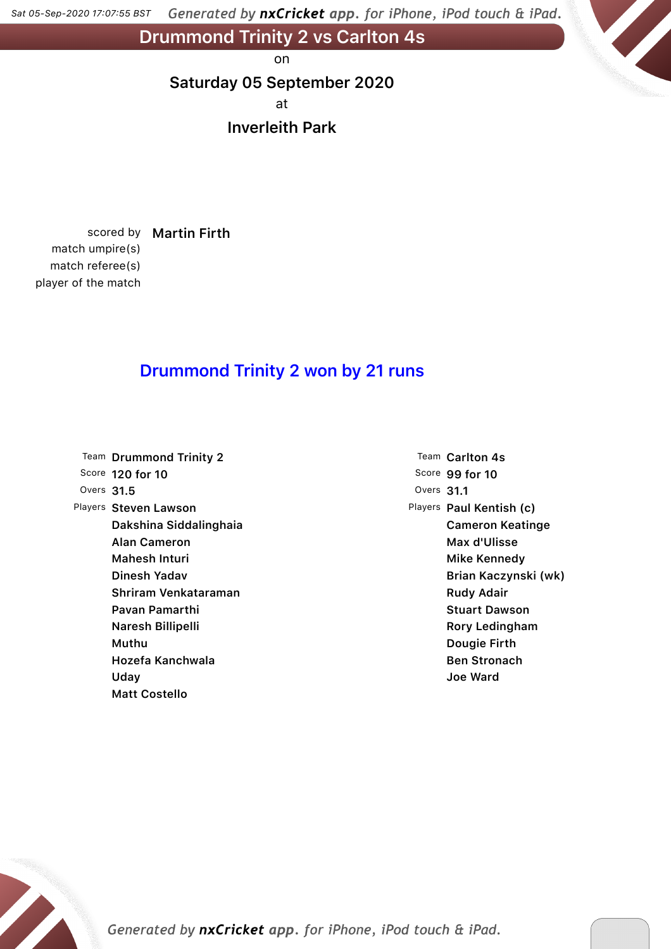Generated by nxCricket app. for iPhone, iPod touch & iPad. *Sat 05-Sep-2020 17:07:55 BST*

Drummond Trinity 2 vs Carlton 4s

on

### Saturday 05 September 2020

at

### Inverleith Park

scored by Martin Firth match umpire(s) match referee(s) player of the match

## Drummond Trinity 2 won by 21 runs

|              | Team Drummond Trinity 2 |
|--------------|-------------------------|
|              | Score 120 for 10        |
| Overs $31.5$ |                         |
|              | Players Steven Lawson   |
|              | Dakshina Siddalinghaia  |
|              | Alan Cameron            |
|              | Mahesh Inturi           |
|              | Dinesh Yadav            |
|              | Shriram Venkataraman    |
|              | Pavan Pamarthi          |
|              | Naresh Billipelli       |
|              | Muthu                   |
|              | Hozefa Kanchwala        |
|              | Uday                    |
|              | Matt Costello           |

Team Carlton 4s Score 99 for 10 Overs 31.1 Players Paul Kentish (c) Cameron Keatinge Max d'Ulisse Mike Kennedy Brian Kaczynski (wk) Rudy Adair Stuart Dawson Rory Ledingham Dougie Firth Ben Stronach Joe Ward

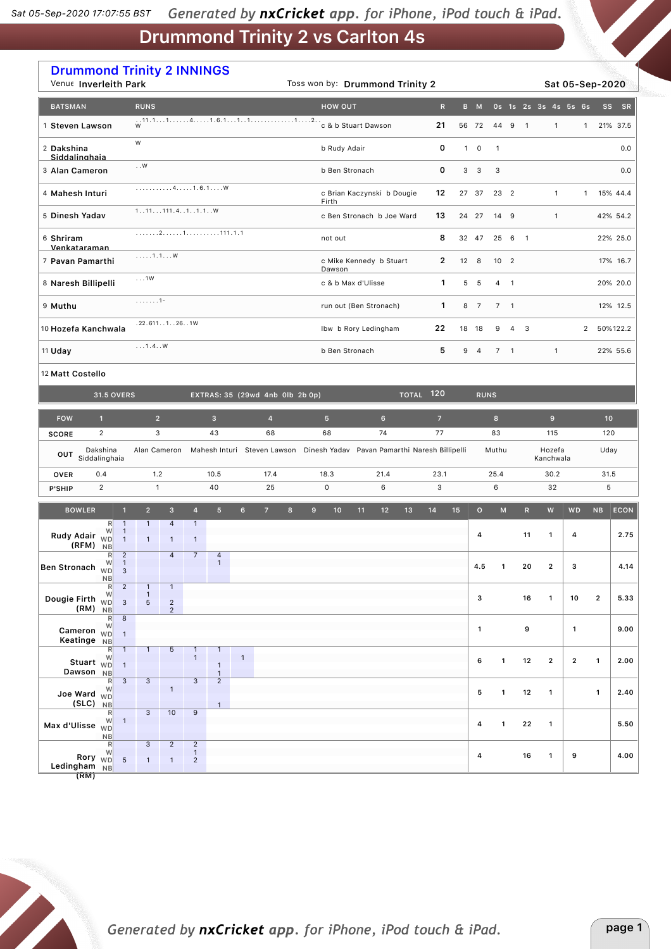| <b>Drummond Trinity 2 INNINGS</b><br>Venue Inverleith Park                             |                                                                 |                                                  |                                       | Toss won by: Drummond Trinity 2 |                            |                                                                                        |      |                         |                          |                |                         |              | Sat 05-Sep-2020 |                 |
|----------------------------------------------------------------------------------------|-----------------------------------------------------------------|--------------------------------------------------|---------------------------------------|---------------------------------|----------------------------|----------------------------------------------------------------------------------------|------|-------------------------|--------------------------|----------------|-------------------------|--------------|-----------------|-----------------|
| <b>BATSMAN</b>                                                                         | <b>RUNS</b>                                                     |                                                  |                                       | <b>HOW OUT</b>                  |                            | $\mathbb{R}$                                                                           |      | B M                     |                          |                | 0s 1s 2s 3s 4s 5s 6s    |              |                 | SS<br>SR        |
| 1 Steven Lawson                                                                        |                                                                 |                                                  |                                       |                                 |                            | 56 72                                                                                  | 44 9 |                         | $\overline{\phantom{a}}$ | $\mathbf{1}$   | $\mathbf{1}$            | 21% 37.5     |                 |                 |
| 2 Dakshina<br>Siddalinghaia                                                            | W                                                               |                                                  |                                       | 0<br>b Rudy Adair               |                            |                                                                                        |      |                         |                          |                |                         |              |                 | 0.0             |
| 3 Alan Cameron                                                                         | . . ${\sf W}$                                                   |                                                  |                                       |                                 | b Ben Stronach             | 0                                                                                      | 3    | $\overline{\mathbf{3}}$ | 3                        |                |                         |              |                 | 0.0             |
| 4 Mahesh Inturi                                                                        | 41.6.1W                                                         |                                                  |                                       | Firth                           | c Brian Kaczynski b Dougie | 12                                                                                     |      | 27 37                   | 23 2                     |                |                         | 1            | $\mathbf{1}$    | 15% 44.4        |
| 5 Dinesh Yadav                                                                         | 1. .11.111.4. .1. .1.1. . W                                     |                                                  |                                       |                                 | c Ben Stronach b Joe Ward  | 13                                                                                     |      | 24 27                   | 14 9                     |                |                         | $\mathbf{1}$ |                 | 42% 54.2        |
| 6 Shriram<br>Venkataraman                                                              |                                                                 |                                                  |                                       | not out                         |                            | 8                                                                                      |      | 32 47                   |                          | 25 6 1         |                         |              |                 | 22% 25.0        |
| 7 Pavan Pamarthi                                                                       | $\ldots$ . 1.1W                                                 |                                                  |                                       | Dawson                          | c Mike Kennedy b Stuart    | 2                                                                                      |      | 12 8                    | 10 <sub>2</sub>          |                |                         |              |                 | 17% 16.7        |
| 8 Naresh Billipelli                                                                    | $\ldots$ 1W                                                     |                                                  |                                       |                                 | c & b Max d'Ulisse         | $\mathbf{1}$                                                                           | 5    | 5                       | $4 \quad 1$              |                |                         |              |                 | 20% 20.0        |
| 9 Muthu                                                                                | . 1 -                                                           |                                                  |                                       |                                 | run out (Ben Stronach)     | $\mathbf{1}$                                                                           | 8    | $\overline{7}$          | 7 <sub>1</sub>           |                |                         |              |                 | 12% 12.5        |
| 10 Hozefa Kanchwala                                                                    | .22.6111261W                                                    |                                                  |                                       |                                 | Ibw b Rory Ledingham       | 22                                                                                     |      | 18 18                   | 9                        | $\overline{4}$ | $\overline{\mathbf{3}}$ |              | $\overline{2}$  | 50%122.2        |
| 11 Uday                                                                                | 1.4W                                                            |                                                  |                                       |                                 | b Ben Stronach             |                                                                                        | 9 4  | 7 <sub>1</sub>          |                          |                | $\mathbf{1}$            |              | 22% 55.6        |                 |
| 12 Matt Costello                                                                       |                                                                 |                                                  |                                       |                                 |                            |                                                                                        |      |                         |                          |                |                         |              |                 |                 |
| <b>31.5 OVERS</b>                                                                      |                                                                 |                                                  | EXTRAS: 35 (29wd 4nb 0lb 2b 0p)       |                                 |                            | $\overline{10}$ TOTAL $\overline{120}$                                                 |      | <b>RUNS</b>             |                          |                |                         |              |                 |                 |
| <b>FOW</b><br>$\mathbf{1}$                                                             | 2 <sup>1</sup>                                                  | 3 <sup>2</sup>                                   | $\overline{4}$                        | 5 <sup>5</sup>                  | $6\phantom{1}$             | $\overline{7}$<br>77                                                                   |      |                         | 8                        |                | 9                       |              |                 | 10 <sup>1</sup> |
| $\overline{2}$<br><b>SCORE</b>                                                         | 3                                                               | 43                                               | 68                                    | 68                              | 74                         |                                                                                        |      | 83                      |                          | 115            |                         | 120          |                 |                 |
| Dakshina<br>OUT<br>Siddalinghaia                                                       |                                                                 |                                                  |                                       |                                 |                            | Alan Cameron Mahesh Inturi Steven Lawson Dinesh Yadav Pavan Pamarthi Naresh Billipelli |      |                         | Muthu                    |                | Hozefa<br>Kanchwala     |              | Uday            |                 |
| 0.4<br><b>OVER</b><br>$\overline{2}$<br><b>P'SHIP</b>                                  | 1.2<br>$\mathbf{1}$                                             | 10.5<br>40                                       | 17.4<br>25                            | 18.3<br>$\mathsf 0$             | 21.4<br>6                  | 23.1<br>3                                                                              | 25.4 |                         |                          |                | 30.2<br>32              |              |                 | 31.5<br>5       |
| <b>BOWLER</b><br>$\mathbf{1}$                                                          | $\overline{2}$<br>$\overline{3}$                                | 4<br>5 <sup>5</sup>                              | 6 <sup>1</sup><br>7 <sup>2</sup><br>8 | $\mathbf{9}$<br>10              | 12<br>11                   | 13<br>14                                                                               | 15   | $\circ$                 | M                        |                | R<br>W                  | <b>WD</b>    | <b>NB</b>       | ECON            |
| R<br>$\mathbf{1}$<br>$\mathbf{1}$                                                      | $\mathbf{1}$<br>$\overline{4}$                                  | $\mathbf{1}$                                     |                                       |                                 |                            |                                                                                        |      |                         |                          |                |                         |              |                 |                 |
| Rudy Adair<br><b>WD</b><br>$\mathbf{1}$<br>(RFM)<br><b>NB</b><br>$\overline{2}$<br>R   | $\mathbf{1}$<br>$\mathbf{1}$<br>$\overline{4}$                  | $\mathbf{1}$<br>$\overline{7}$<br>$\overline{a}$ |                                       |                                 |                            |                                                                                        |      | 4                       |                          |                | 11<br>1                 | 4            |                 | 2.75            |
| W<br>$\mathbf{1}$<br>Ben Stronach WD<br>3<br><b>NB</b>                                 |                                                                 | $\mathbf{1}$                                     |                                       |                                 |                            |                                                                                        |      | 4.5                     | 1                        |                | 20<br>$\mathbf{2}$      | з            |                 | 4.14            |
| $\overline{2}$<br>R<br>W<br>Dougie Firth WD<br>$\ensuremath{\mathsf{3}}$               | $\mathbf{1}$<br>$\mathbf{1}$<br>$\mathbf{1}$<br>$\sqrt{2}$<br>5 |                                                  |                                       |                                 |                            |                                                                                        |      | з                       |                          |                | 16<br>$\mathbf{1}$      | 10           | $\overline{2}$  | 5.33            |
| $(RM)$ NB<br>$\bf 8$<br>$\mathsf{R}$<br>W                                              | $\overline{2}$                                                  |                                                  |                                       |                                 |                            |                                                                                        |      |                         |                          |                |                         |              |                 |                 |
| Cameron $\overline{WD}$<br>$\mathbf{1}$<br>Keatinge NB<br>$\mathbb{R}$<br>$\mathbf{1}$ | $\mathbf{1}$<br>$5\phantom{.0}$                                 | $\mathbf{1}$<br>$\mathbf{1}$                     |                                       |                                 |                            |                                                                                        |      | $\mathbf{1}$            |                          |                | 9                       | $\mathbf{1}$ |                 | 9.00            |
| W<br>Stuart <sub>WD</sub><br>$\mathbf{1}$<br>Dawson NB                                 |                                                                 | $\mathbf{1}$<br>$\mathbf{1}$<br>$\overline{1}$   | $\mathbf{1}$                          |                                 |                            |                                                                                        |      | 6                       | 1                        |                | $\mathbf{2}$<br>12      | $\mathbf{2}$ | $\mathbf{1}$    | 2.00            |
| $\overline{3}$<br>$\mathsf{R}$<br>W<br>Joe Ward $\sqrt[N]{D}$                          | $\overline{3}$<br>$\mathbf{1}$                                  | $\overline{3}$<br>$\overline{2}$                 |                                       |                                 |                            |                                                                                        |      | 5                       | 1                        |                | 12<br>$\mathbf{1}$      |              | $\mathbf{1}$    | 2.40            |
| $(SLC)$ NB<br>$\mathsf{R}$<br>W<br>$\mathbf{1}$<br>Max d'Ulisse <sub>WD</sub>          | $\overline{3}$<br>10                                            | $\mathbf{1}$<br>9                                |                                       |                                 |                            |                                                                                        |      | 4                       | $\mathbf{1}$             |                | 22<br>$\mathbf{1}$      |              |                 | 5.50            |
| NB<br>R                                                                                | 3<br>$\overline{2}$                                             | $\overline{2}$                                   |                                       |                                 |                            |                                                                                        |      |                         |                          |                |                         |              |                 |                 |
| W<br>Rory <sub>WD</sub><br>$\sqrt{5}$<br>Ledingham NB                                  | $\mathbf{1}$<br>$\mathbf{1}$                                    | $\mathbf{1}$<br>$\overline{2}$                   |                                       |                                 |                            |                                                                                        |      | 4                       |                          |                | 16<br>1                 | 9            |                 | 4.00            |

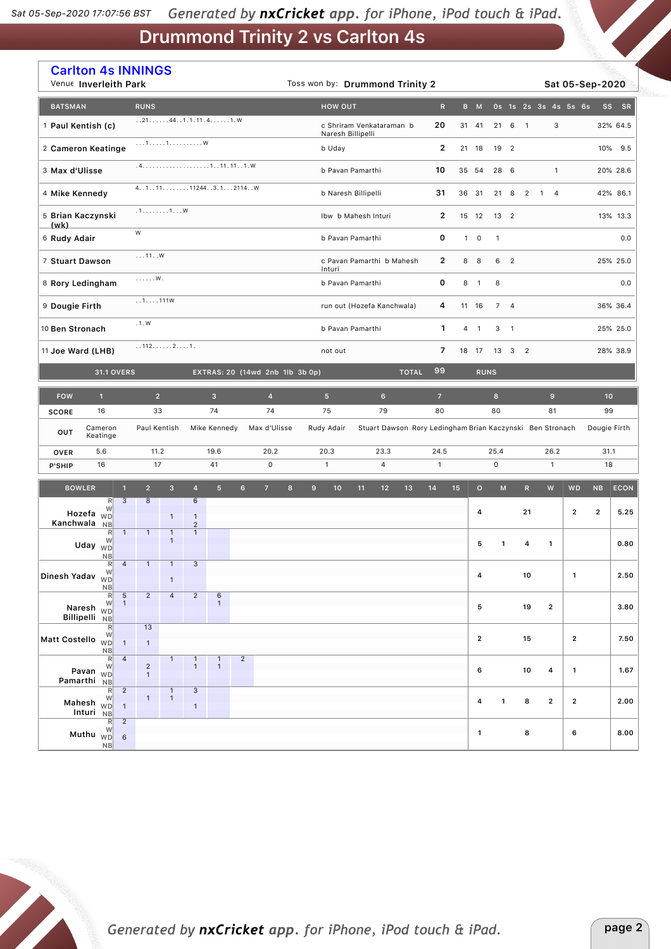|                      | <b>Carlton 4s INNINGS</b><br>Venue Inverleith Park                                           |                                |                                                             |                                  |                                      |                | Toss won by: Drummond Trinity 2 |                |   |                                                                         |    |    |              |                | Sat 05-Sep-2020 |                |                     |                                   |                 |                |                      |                         |                |             |
|----------------------|----------------------------------------------------------------------------------------------|--------------------------------|-------------------------------------------------------------|----------------------------------|--------------------------------------|----------------|---------------------------------|----------------|---|-------------------------------------------------------------------------|----|----|--------------|----------------|-----------------|----------------|---------------------|-----------------------------------|-----------------|----------------|----------------------|-------------------------|----------------|-------------|
| <b>BATSMAN</b>       |                                                                                              | <b>RUNS</b>                    |                                                             |                                  |                                      |                |                                 |                |   | <b>HOW OUT</b>                                                          |    |    |              | $\mathsf{R}$   |                 | B M            |                     |                                   |                 |                | Os 1s 2s 3s 4s 5s 6s |                         | <b>SS</b>      | SR          |
| 1 Paul Kentish (c)   |                                                                                              |                                |                                                             |                                  | 21441.1.11.41.W                      |                |                                 |                |   | 20<br>c Shriram Venkataraman b<br>Naresh Billipelli                     |    |    |              |                |                 | 31 41          |                     | 21 6                              | $\overline{1}$  |                | 3                    |                         |                | 32% 64.5    |
|                      | $\dots 1 \dots 1 \dots 1 \dots \dots \dots \dots \dots$<br>2 Cameron Keatinge                |                                |                                                             |                                  |                                      |                |                                 |                |   | b Uday                                                                  |    |    |              | $\overline{2}$ |                 | 21 18          |                     | 19 2                              |                 |                |                      |                         |                | 10% 9.5     |
|                      | 3 Max d'Ulisse                                                                               |                                |                                                             |                                  |                                      |                |                                 |                |   | b Pavan Pamarthi                                                        |    |    |              | 10             |                 | 35 54          |                     | 28 6                              |                 |                | $\mathbf{1}$         |                         |                | 20% 28.6    |
| 4 Mike Kennedy       |                                                                                              |                                |                                                             |                                  | 4.1.1.11.1.1.1.1.11244.3.1.1.2114. W |                |                                 |                |   | b Naresh Billipelli                                                     |    |    |              | 31             |                 | 36 31          |                     | 21 8                              | $\overline{2}$  | $\overline{1}$ | $\overline{4}$       |                         |                | 42% 86.1    |
|                      | 5 Brian Kaczynski                                                                            |                                | .1. 1. W                                                    |                                  |                                      |                |                                 |                |   | Ibw b Mahesh Inturi                                                     |    |    |              | $\overline{2}$ |                 | 15 12          |                     | 13 <sup>2</sup>                   |                 |                |                      |                         |                | 13% 13.3    |
| (wk)<br>6 Rudy Adair |                                                                                              | W                              |                                                             |                                  |                                      |                |                                 |                |   | b Pavan Pamarthi                                                        |    |    |              | 0              | $\mathbf{1}$    | $\mathsf 0$    | $\mathbf{1}$        |                                   |                 |                |                      |                         |                | 0.0         |
| 7 Stuart Dawson      |                                                                                              | 11W                            |                                                             |                                  |                                      |                |                                 |                |   | c Pavan Pamarthi b Mahesh                                               |    |    |              | $\mathbf{2}$   |                 | 8 8            |                     | 6 <sub>2</sub>                    |                 |                |                      |                         |                | 25% 25.0    |
|                      | 8 Rory Ledingham                                                                             | . W .                          |                                                             |                                  |                                      |                |                                 |                |   | Inturi<br>b Pavan Pamarthi                                              |    |    |              | 0              | 8               | $\overline{1}$ | 8                   |                                   |                 |                |                      |                         |                | 0.0         |
| 9 Dougie Firth       |                                                                                              | 11111W                         |                                                             |                                  |                                      |                |                                 |                |   | run out (Hozefa Kanchwala)                                              |    |    |              | 4              |                 | 11 16          |                     | 7 <sub>4</sub>                    |                 |                |                      |                         |                | 36% 36.4    |
|                      | .1.W<br>10 Ben Stronach                                                                      |                                |                                                             |                                  |                                      |                |                                 |                |   | b Pavan Pamarthi                                                        |    |    |              | 1              |                 | $4 \quad 1$    |                     | 3 <sub>1</sub>                    |                 |                |                      |                         |                | 25% 25.0    |
| 11 Joe Ward (LHB)    |                                                                                              |                                | 11221.                                                      |                                  |                                      |                |                                 |                |   | not out                                                                 |    |    |              | $\overline{7}$ |                 | 18 17          | 13 3 2              |                                   |                 |                |                      |                         |                | 28% 38.9    |
|                      | <b>31.1 OVERS</b>                                                                            |                                |                                                             |                                  |                                      |                | EXTRAS: 20 (14wd 2nb 1lb 3b 0p) |                |   |                                                                         |    |    | <b>TOTAL</b> | 99             |                 | <b>RUNS</b>    |                     |                                   |                 |                |                      |                         |                |             |
| <b>FOW</b>           | $\mathbf{1}$                                                                                 |                                | $\overline{2}$<br>$\overline{3}$<br>$\overline{\mathbf{4}}$ |                                  |                                      | 5 <sup>5</sup> |                                 | $6\phantom{.}$ |   | $\overline{7}$                                                          |    |    | $\bf{8}$     |                |                 |                | $\mathbf 9$         |                                   | 10 <sub>1</sub> |                |                      |                         |                |             |
| <b>SCORE</b>         | 16                                                                                           | 33                             |                                                             |                                  | 74                                   |                | 74                              |                |   | 75                                                                      | 79 |    |              | 80             |                 | 80             |                     |                                   | 81              |                |                      | 99                      |                |             |
| OUT                  | Cameron<br>Keatinge                                                                          |                                | Paul Kentish                                                |                                  | Mike Kennedy                         |                | Max d'Ulisse                    |                |   | Stuart Dawson Rory Ledingham Brian Kaczynski Ben Stronach<br>Rudy Adair |    |    |              |                |                 |                |                     |                                   |                 |                |                      |                         | Dougie Firth   |             |
| <b>OVER</b>          | 5.6                                                                                          | 11.2                           |                                                             | 19.6                             |                                      |                |                                 | 20.2           |   | 20.3<br>23.3                                                            |    |    | 24.5<br>25.4 |                |                 |                |                     |                                   | 26.2            |                | 31.1                 |                         |                |             |
| P'SHIP               | 16                                                                                           | 17                             |                                                             |                                  | 41                                   |                | $\mathsf{O}\xspace$             |                |   | $\mathbf{1}$                                                            |    | 4  |              | $\mathbf{1}$   |                 |                | $\mathsf{O}\xspace$ |                                   | $\mathbf{1}$    |                |                      | 18                      |                |             |
|                      | <b>BOWLER</b><br>$\mathbf{1}$                                                                | 2 <sup>2</sup>                 | $\overline{\mathbf{3}}$                                     | $\overline{4}$                   | 5 <sup>5</sup>                       | 6 <sup>1</sup> | 7 <sup>2</sup>                  | 8              | 9 | 10                                                                      | 11 | 12 | 13           | 14             | 15              | $\circ$        |                     | $\mathsf{M}% _{H}=\mathsf{M}_{H}$ | R               |                | ${\bf W}$            | <b>WD</b>               | NB             | <b>ECON</b> |
|                      | 3<br>R<br>W<br>Hozefa $\overline{w}$                                                         | 8                              | $\mathbf{1}$                                                | 6<br>$\mathbf{1}$                |                                      |                |                                 |                |   |                                                                         |    |    |              |                |                 | 4              |                     |                                   | 21              |                |                      | $\overline{2}$          | $\overline{2}$ | 5.25        |
| Kanchwala            | <b>NB</b><br>$\mathbf{1}$<br>$\mathsf{R}$<br>W                                               | $\mathbf{1}$                   | $\overline{1}$<br>$\mathbf{1}$                              | $\overline{2}$<br>$\overline{1}$ |                                      |                |                                 |                |   |                                                                         |    |    |              |                |                 |                |                     |                                   |                 |                |                      |                         |                |             |
|                      | Uday <sub>WD</sub><br>NB                                                                     |                                |                                                             |                                  |                                      |                |                                 |                |   |                                                                         |    |    |              |                |                 | 5              |                     | 1                                 | 4               | $\mathbf{1}$   |                      |                         |                | 0.80        |
| Dinesh Yadav WD      | R<br>$\overline{4}$<br>W<br><b>NB</b>                                                        | $\mathbf{1}$                   | 1<br>$\mathbf{1}$                                           | 3                                |                                      |                |                                 |                |   |                                                                         |    |    |              |                |                 | 4              |                     |                                   | 10              |                |                      | $\mathbf{1}$            |                | $2.50\,$    |
|                      | $\overline{5}$<br>$\mathbb{R}$<br>$\mathbf{1}$<br>W<br>Naresh <sub>WD</sub><br>Billipelli NB | $\overline{2}$                 | $\overline{4}$                                              | $\overline{2}$                   | $\,$ 6<br>$\mathbf{1}$               |                |                                 |                |   |                                                                         |    |    |              |                |                 | 5              |                     |                                   | 19              |                | $\mathbf{2}$         |                         |                | 3.80        |
| Matt Costello WD     | R<br>W                                                                                       | 13                             |                                                             |                                  |                                      |                |                                 |                |   |                                                                         |    |    |              |                |                 | $\mathbf{2}$   |                     |                                   | 15              |                |                      | $\mathbf{2}$            |                | 7.50        |
|                      | $\mathbf{1}$<br><b>NB</b><br>$\overline{4}$<br>$\mathsf{R}$                                  | $\mathbf{1}$                   | $\mathbf{1}$                                                |                                  |                                      | $\overline{c}$ |                                 |                |   |                                                                         |    |    |              |                |                 |                |                     |                                   |                 |                |                      |                         |                |             |
|                      | W<br>Pavan <sub>WD</sub><br>Pamarthi NB                                                      | $\overline{c}$<br>$\mathbf{1}$ |                                                             | $\bullet$                        | $\mathbf{1}$                         |                |                                 |                |   |                                                                         |    |    |              |                |                 | 6              |                     |                                   | 10              |                | 4                    | $\mathbf{1}$            |                | 1.67        |
|                      | $\overline{2}$<br>$\mathbb{R}$<br>Mahesh WD<br>$\mathbf{1}$<br>Inturi NB                     | $\mathbf{1}$                   | $\mathbf{1}$<br>$\overline{1}$                              | 3<br>$\mathbf{1}$                |                                      |                |                                 |                |   |                                                                         |    |    |              |                |                 | 4              |                     | 1                                 | 8               |                | $\overline{2}$       | $\overline{\mathbf{c}}$ |                | 2.00        |
|                      | $\overline{2}$<br>R<br>W<br>Muthu $W$ D<br>$\,6\,$<br>NB                                     |                                |                                                             |                                  |                                      |                |                                 |                |   |                                                                         |    |    |              |                |                 | 1              |                     |                                   | 8               |                |                      | 6                       |                | 8.00        |

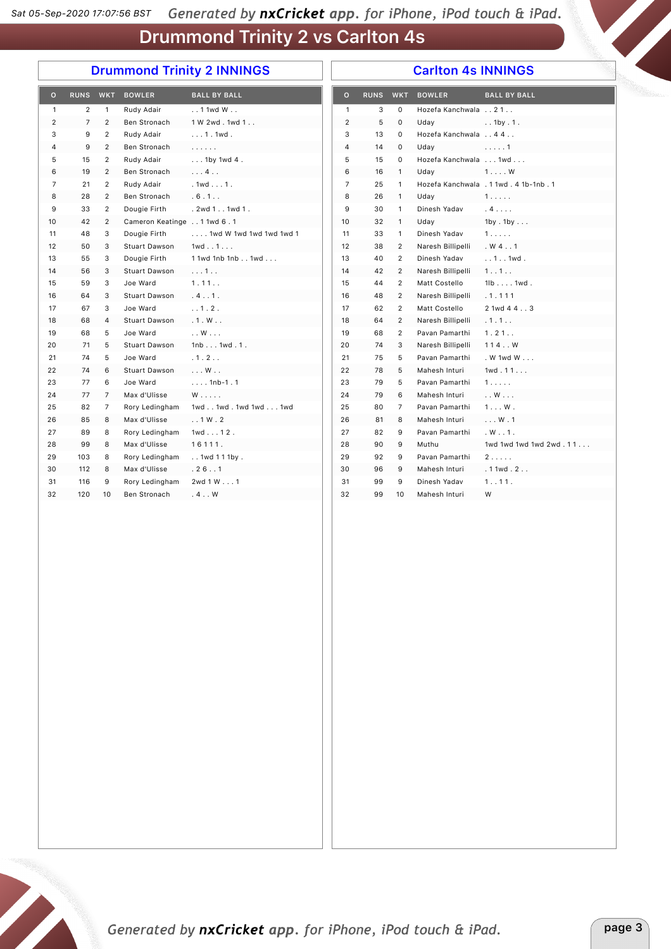## Drummond Trinity 2 INNINGS

#### Carlton 4s INNINGS

| $\circ$        | RUNS WKT       |                | <b>BOWLER</b>                | <b>BALL BY BALL</b>     | $\circ$        |    | RUNS WKT       | <b>BOWLER</b>        | <b>BALL BY BALL</b>                   |
|----------------|----------------|----------------|------------------------------|-------------------------|----------------|----|----------------|----------------------|---------------------------------------|
| $\mathbf{1}$   | $\overline{2}$ | $\mathbf{1}$   | Rudy Adair                   | $.11$ 1 wd W $.1$       | $\mathbf{1}$   | 3  | $\Omega$       | Hozefa Kanchwala 21. |                                       |
| $\overline{2}$ | $\overline{7}$ | $\overline{2}$ | Ben Stronach                 | 1 W 2wd. 1wd 1          | $\overline{2}$ | 5  | $\mathbf 0$    | Uday                 | $.1$ by $.1$ .                        |
| 3              | 9              | $\overline{2}$ | Rudy Adair                   | $ 1.1$ wd.              | 3              | 13 | $\Omega$       | Hozefa Kanchwala 4 4 |                                       |
| 4              | 9              | $\overline{2}$ | Ben Stronach                 | 1.1.1.1.1               | 4              | 14 | $\mathbf 0$    | Uday                 | 1                                     |
| 5              | 15             | $\overline{2}$ | Rudy Adair                   | $\ldots$ 1by 1wd 4.     | 5              | 15 | $\Omega$       | Hozefa Kanchwala 1wd |                                       |
| 6              | 19             | $\overline{2}$ | Ben Stronach                 | $\ldots$ 4. $\ldots$    | 6              | 16 | $\mathbf{1}$   | Udav                 | $1 \ldots W$                          |
| $\overline{7}$ | 21             | $\overline{2}$ | Rudy Adair                   | $.1wd1$ .               | $\overline{7}$ | 25 | $\mathbf{1}$   |                      | Hozefa Kanchwala . 1 1wd. 4 1b-1nb. 1 |
| 8              | 28             | 2              | Ben Stronach                 | .6.1                    | 8              | 26 | $\mathbf{1}$   | Uday                 | 1.                                    |
| 9              | 33             | $\overline{2}$ | Dougie Firth                 | . 2wd 1 1wd 1 .         | 9              | 30 | $\mathbf{1}$   | Dinesh Yadav         | $.4.$                                 |
| 10             | 42             | $\overline{2}$ | Cameron Keatinge 1 1wd 6 . 1 |                         | 10             | 32 | $\mathbf{1}$   | Uday                 | 1by . 1by                             |
| 11             | 48             | 3              | Dougie Firth                 | 1wd W 1wd 1wd 1wd 1wd 1 | 11             | 33 | $\mathbf{1}$   | Dinesh Yadav         | 1.1.1.1                               |
| 12             | 50             | 3              | Stuart Dawson                | $1wd \ldots 1 \ldots$   | 12             | 38 | 2              | Naresh Billipelli    | $W_4$ . 1                             |
| 13             | 55             | 3              | Dougie Firth                 | 1 1wd 1nb 1nb 1wd       | 13             | 40 | $\overline{2}$ | Dinesh Yadav         | $.1.1$ . 1wd.                         |
| 14             | 56             | 3              | Stuart Dawson                | 1                       | 14             | 42 | 2              | Naresh Billipelli    | 1.11.1                                |
| 15             | 59             | 3              | Joe Ward                     | 1.11                    | 15             | 44 | $\overline{2}$ | Matt Costello        | $1lb1wd$ .                            |
| 16             | 64             | 3              | Stuart Dawson                | .4.11                   | 16             | 48 | 2              | Naresh Billipelli    | .1.111                                |
| 17             | 67             | 3              | Joe Ward                     | . . 1. 2.               | 17             | 62 | $\overline{2}$ | Matt Costello        | 2 1wd 4 4 3                           |
| 18             | 68             | $\overline{4}$ | Stuart Dawson                | .1. W.                  | 18             | 64 | $\overline{2}$ | Naresh Billipelli    | .1.1.1                                |
| 19             | 68             | 5              | Joe Ward                     | $\ldots$ W $\ldots$     | 19             | 68 | $\overline{2}$ | Pavan Pamarthi       | 1.21                                  |
| 20             | 71             | 5              | Stuart Dawson                | 1nb1wd.1.               | 20             | 74 | 3              | Naresh Billipelli    | 114W                                  |
| 21             | 74             | 5              | Joe Ward                     | .1.2.                   | 21             | 75 | 5              | Pavan Pamarthi       | . W 1wd W $\ldots$                    |
| 22             | 74             | 6              | Stuart Dawson                | $\ldots$ W $\ldots$     | 22             | 78 | 5              | Mahesh Inturi        | 1wd.11                                |
| 23             | 77             | 6              | Joe Ward                     | $$ 1nb-1.1              | 23             | 79 | 5              | Pavan Pamarthi       | 1.1.1.1                               |
| 24             | 77             | $\overline{7}$ | Max d'Ulisse                 | $W$                     | 24             | 79 | 6              | Mahesh Inturi        | $\ldots$ W $\ldots$                   |
| 25             | 82             | $\overline{7}$ | Rory Ledingham               | 1wd1wd.1wd1wd1wd        | 25             | 80 | $\overline{7}$ | Pavan Pamarthi       | $1 \ldots W$ .                        |
| 26             | 85             | 8              | Max d'Ulisse                 | .1W.2                   | 26             | 81 | 8              | Mahesh Inturi        | $\ldots$ W $\ldots$ 1                 |
| 27             | 89             | 8              | Rory Ledingham               | $1wd12$ .               | 27             | 82 | 9              | Pavan Pamarthi       | W.11.                                 |
| 28             | 99             | 8              | Max d'Ulisse                 | 16111.                  | 28             | 90 | 9              | Muthu                | 1wd 1wd 1wd 1wd 2wd. 11               |
| 29             | 103            | 8              | Rory Ledingham               | . . 1wd 1 1 1by .       | 29             | 92 | 9              | Pavan Pamarthi       | 2                                     |
| 30             | 112            | 8              | Max d'Ulisse                 | .26.1                   | 30             | 96 | 9              | Mahesh Inturi        | .11wd.2                               |
| 31             | 116            | 9              | Rory Ledingham               | 2wd 1 W 1               | 31             | 99 | 9              | Dinesh Yadav         | 1.111.                                |
| 32             | 120            | 10             | Ben Stronach                 | .4.0                    | 32             | 99 | 10             | Mahesh Inturi        | W                                     |

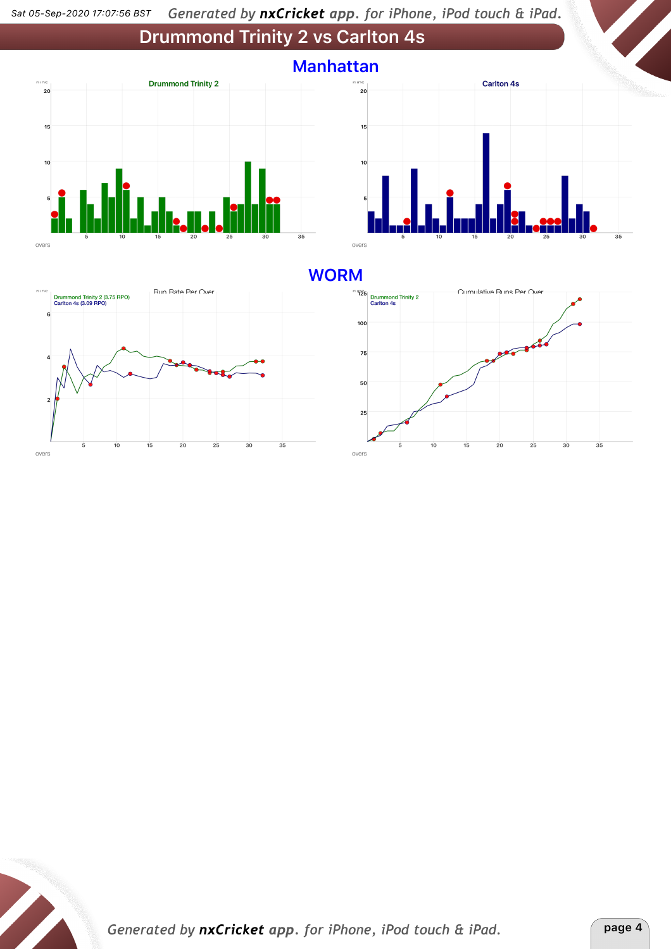





### **WORM**